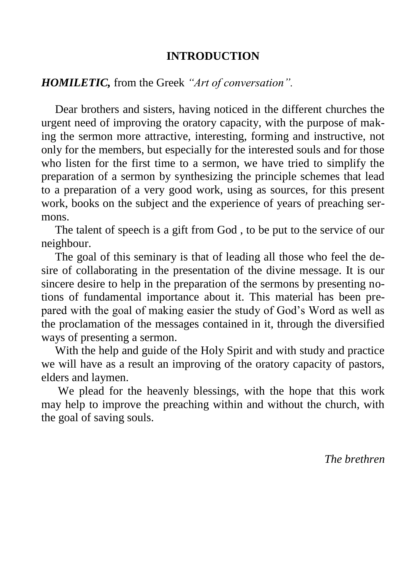#### **INTRODUCTION**

#### *HOMILETIC,* from the Greek *"Art of conversation".*

Dear brothers and sisters, having noticed in the different churches the urgent need of improving the oratory capacity, with the purpose of making the sermon more attractive, interesting, forming and instructive, not only for the members, but especially for the interested souls and for those who listen for the first time to a sermon, we have tried to simplify the preparation of a sermon by synthesizing the principle schemes that lead to a preparation of a very good work, using as sources, for this present work, books on the subject and the experience of years of preaching sermons.

The talent of speech is a gift from God , to be put to the service of our neighbour.

The goal of this seminary is that of leading all those who feel the desire of collaborating in the presentation of the divine message. It is our sincere desire to help in the preparation of the sermons by presenting notions of fundamental importance about it. This material has been prepared with the goal of making easier the study of God's Word as well as the proclamation of the messages contained in it, through the diversified ways of presenting a sermon.

With the help and guide of the Holy Spirit and with study and practice we will have as a result an improving of the oratory capacity of pastors, elders and laymen.

We plead for the heavenly blessings, with the hope that this work may help to improve the preaching within and without the church, with the goal of saving souls.

*The brethren*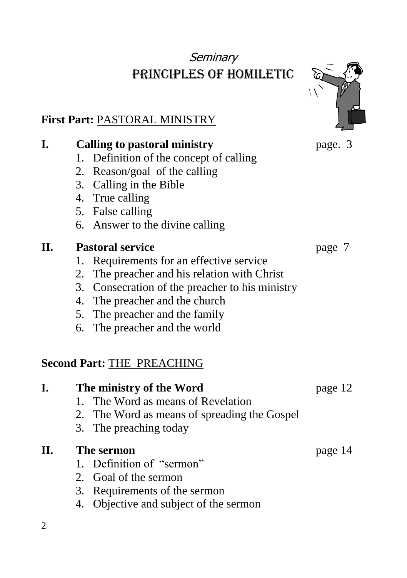# **Seminary** Principles of homiletic

## **First Part:** PASTORAL MINISTRY

| I.  | <b>Calling to pastoral ministry</b>             | page. 3 |
|-----|-------------------------------------------------|---------|
|     | Definition of the concept of calling<br>1.      |         |
|     | 2. Reason/goal of the calling                   |         |
|     | 3. Calling in the Bible                         |         |
|     | 4. True calling                                 |         |
|     | 5. False calling                                |         |
|     | 6. Answer to the divine calling                 |         |
| II. | <b>Pastoral service</b>                         | page 7  |
|     | Requirements for an effective service<br>1.     |         |
|     | The preacher and his relation with Christ<br>2. |         |
|     | 3. Consecration of the preacher to his ministry |         |
|     | 4. The preacher and the church                  |         |
|     | 5. The preacher and the family                  |         |
|     | 6. The preacher and the world                   |         |
|     |                                                 |         |
|     | <b>Second Part: THE PREACHING</b>               |         |
| I.  | The ministry of the Word                        | page 12 |
|     | The Word as means of Revelation<br>$1_{-}$      |         |
|     | 2. The Word as means of spreading the Gospel    |         |
|     | 3. The preaching today                          |         |
| II. | The sermon                                      | page 14 |
|     | 1. Definition of "sermon"                       |         |
|     | 2. Goal of the sermon                           |         |
|     | 3. Requirements of the sermon                   |         |
|     | 4. Objective and subject of the sermon          |         |
| 2   |                                                 |         |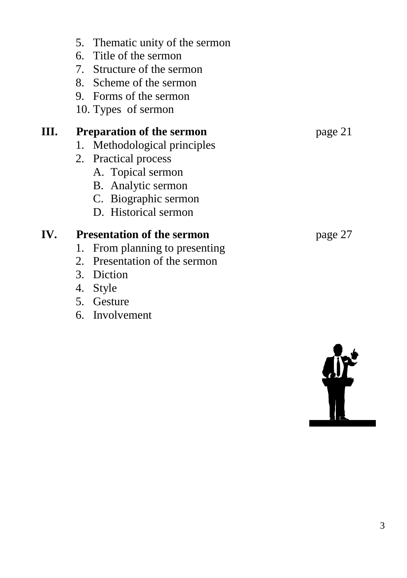## 5. Thematic unity of the sermon

- 6. Title of the sermon
- 7. Structure of the sermon
- 8. Scheme of the sermon
- 9. Forms of the sermon
- 10. Types of sermon

## **III. Preparation of the sermon** page 21

- 1. Methodological principles
- 2. Practical process
	- A. Topical sermon
	- B. Analytic sermon
	- C. Biographic sermon
	- D. Historical sermon

## **IV. Presentation of the sermon** page 27

- 1. From planning to presenting
- 2. Presentation of the sermon
- 3. Diction
- 4. Style
- 5. Gesture
- 6. Involvement

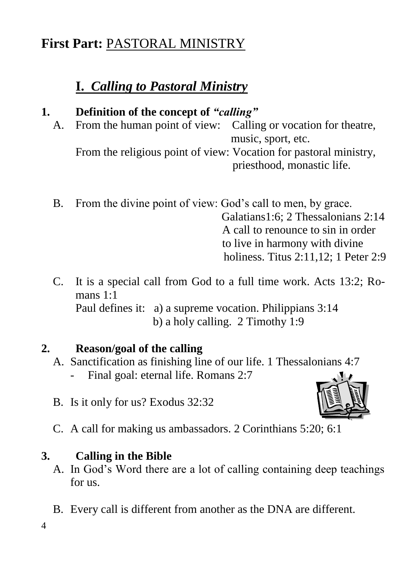# **First Part:** PASTORAL MINISTRY

# **I.** *Calling to Pastoral Ministry*

## **1. Definition of the concept of** *"calling"*

A. From the human point of view: Calling or vocation for theatre, music, sport, etc.

From the religious point of view: Vocation for pastoral ministry, priesthood, monastic life.

- B. From the divine point of view: God's call to men, by grace. Galatians1:6; 2 Thessalonians 2:14 A call to renounce to sin in order to live in harmony with divine holiness. Titus 2:11,12; 1 Peter 2:9
- C. It is a special call from God to a full time work. Acts 13:2; Romans 1.1 Paul defines it: a) a supreme vocation. Philippians 3:14 b) a holy calling. 2 Timothy 1:9

## **2. Reason/goal of the calling**

- A. Sanctification as finishing line of our life. 1 Thessalonians 4:7 - Final goal: eternal life. Romans 2:7
- B. Is it only for us? Exodus 32:32



C. A call for making us ambassadors. 2 Corinthians 5:20; 6:1

## **3. Calling in the Bible**

- A. In God's Word there are a lot of calling containing deep teachings for us.
- B. Every call is different from another as the DNA are different.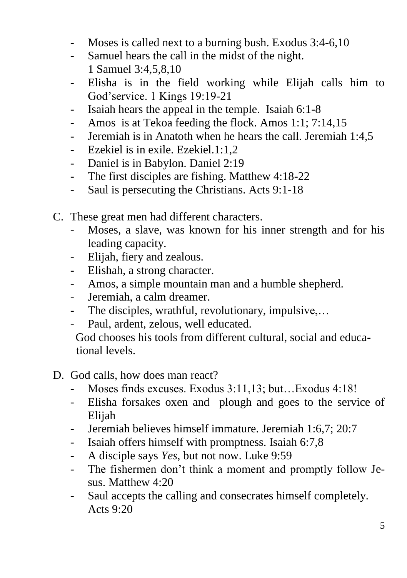- Moses is called next to a burning bush. Exodus 3:4-6,10
- Samuel hears the call in the midst of the night. 1 Samuel 3:4,5,8,10
- Elisha is in the field working while Elijah calls him to God'service. 1 Kings 19:19-21
- Isaiah hears the appeal in the temple. Isaiah 6:1-8
- Amos is at Tekoa feeding the flock. Amos 1:1; 7:14,15
- Jeremiah is in Anatoth when he hears the call. Jeremiah 1:4,5
- Ezekiel is in exile. Ezekiel.1:1,2
- Daniel is in Babylon. Daniel 2:19
- The first disciples are fishing. Matthew 4:18-22
- Saul is persecuting the Christians. Acts 9:1-18
- C. These great men had different characters.
	- Moses, a slave, was known for his inner strength and for his leading capacity.
	- Elijah, fiery and zealous.
	- Elishah, a strong character.
	- Amos, a simple mountain man and a humble shepherd.
	- Jeremiah, a calm dreamer.
	- The disciples, wrathful, revolutionary, impulsive,…
	- Paul, ardent, zelous, well educated.

 God chooses his tools from different cultural, social and educa tional levels.

- D. God calls, how does man react?
	- Moses finds excuses. Exodus 3:11,13; but…Exodus 4:18!
	- Elisha forsakes oxen and plough and goes to the service of Elijah
	- Jeremiah believes himself immature. Jeremiah 1:6,7; 20:7
	- Isaiah offers himself with promptness. Isaiah 6:7,8
	- A disciple says *Yes*, but not now. Luke 9:59
	- The fishermen don't think a moment and promptly follow Jesus. Matthew 4:20
	- Saul accepts the calling and consecrates himself completely. Acts 9:20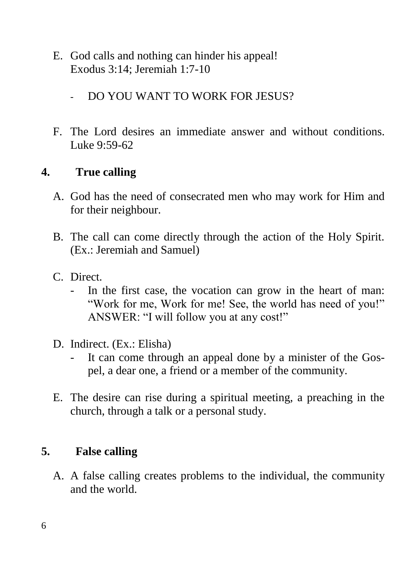- E. God calls and nothing can hinder his appeal! Exodus 3:14; Jeremiah 1:7-10
	- DO YOU WANT TO WORK FOR JESUS?
- F. The Lord desires an immediate answer and without conditions. Luke 9:59-62

## **4. True calling**

- A. God has the need of consecrated men who may work for Him and for their neighbour.
- B. The call can come directly through the action of the Holy Spirit. (Ex.: Jeremiah and Samuel)
- C. Direct.
	- In the first case, the vocation can grow in the heart of man: "Work for me, Work for me! See, the world has need of you!" ANSWER: "I will follow you at any cost!"
- D. Indirect. (Ex.: Elisha)
	- It can come through an appeal done by a minister of the Gospel, a dear one, a friend or a member of the community.
- E. The desire can rise during a spiritual meeting, a preaching in the church, through a talk or a personal study.

#### **5. False calling**

A. A false calling creates problems to the individual, the community and the world.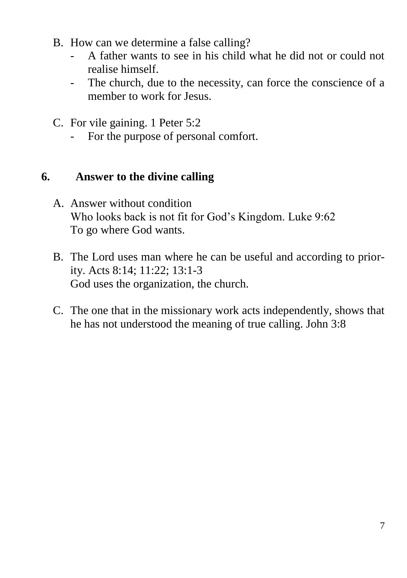- B. How can we determine a false calling?
	- A father wants to see in his child what he did not or could not realise himself.
	- The church, due to the necessity, can force the conscience of a member to work for Jesus.
- C. For vile gaining. 1 Peter 5:2
	- For the purpose of personal comfort.

#### **6. Answer to the divine calling**

- A. Answer without condition Who looks back is not fit for God's Kingdom. Luke 9:62 To go where God wants.
- B. The Lord uses man where he can be useful and according to priority. Acts 8:14; 11:22; 13:1-3 God uses the organization, the church.
- C. The one that in the missionary work acts independently, shows that he has not understood the meaning of true calling. John 3:8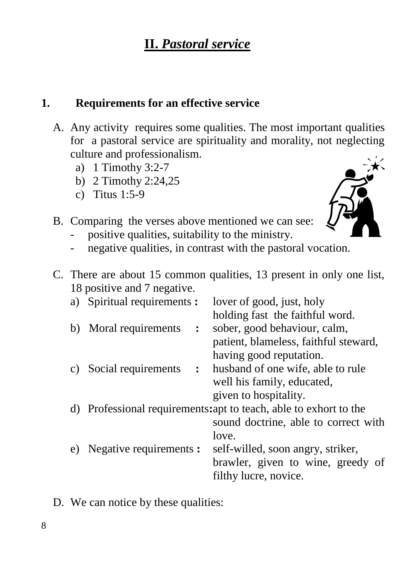#### **1. Requirements for an effective service**

- A. Any activity requires some qualities. The most important qualities for a pastoral service are spirituality and morality, not neglecting culture and professionalism.
	- a) 1 Timothy 3:2-7
	- b) 2 Timothy 2:24,25
	- c) Titus 1:5-9



- B. Comparing the verses above mentioned we can see:
	- positive qualities, suitability to the ministry.
	- negative qualities, in contrast with the pastoral vocation.
- C. There are about 15 common qualities, 13 present in only one list, 18 positive and 7 negative.

|    | a) Spiritual requirements: |                | lover of good, just, holy                                         |
|----|----------------------------|----------------|-------------------------------------------------------------------|
|    |                            |                | holding fast the faithful word.                                   |
| b) | Moral requirements         | $\ddot{\cdot}$ | sober, good behaviour, calm,                                      |
|    |                            |                | patient, blameless, faithful steward,                             |
|    |                            |                | having good reputation.                                           |
|    | c) Social requirements     | $\mathbf{L}$   | husband of one wife, able to rule                                 |
|    |                            |                | well his family, educated,                                        |
|    |                            |                | given to hospitality.                                             |
|    |                            |                | d) Professional requirements: apt to teach, able to exhort to the |
|    |                            |                | sound doctrine, able to correct with                              |
|    |                            |                | love.                                                             |
| e) | Negative requirements :    |                | self-willed, soon angry, striker,                                 |
|    |                            |                | brawler, given to wine, greedy of                                 |
|    |                            |                | filthy lucre, novice.                                             |
|    |                            |                |                                                                   |

D. We can notice by these qualities: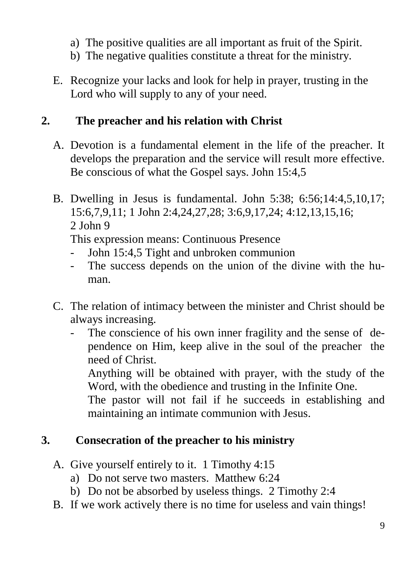- a) The positive qualities are all important as fruit of the Spirit.
- b) The negative qualities constitute a threat for the ministry.
- E. Recognize your lacks and look for help in prayer, trusting in the Lord who will supply to any of your need.

#### **2. The preacher and his relation with Christ**

- A. Devotion is a fundamental element in the life of the preacher. It develops the preparation and the service will result more effective. Be conscious of what the Gospel says. John 15:4,5
- B. Dwelling in Jesus is fundamental. John 5:38; 6:56;14:4,5,10,17; 15:6,7,9,11; 1 John 2:4,24,27,28; 3:6,9,17,24; 4:12,13,15,16; 2 John 9

This expression means: Continuous Presence

- John 15:4,5 Tight and unbroken communion
- The success depends on the union of the divine with the human.
- C. The relation of intimacy between the minister and Christ should be always increasing.
	- The conscience of his own inner fragility and the sense of dependence on Him, keep alive in the soul of the preacher the need of Christ.

Anything will be obtained with prayer, with the study of the Word, with the obedience and trusting in the Infinite One.

The pastor will not fail if he succeeds in establishing and maintaining an intimate communion with Jesus.

## **3. Consecration of the preacher to his ministry**

- A. Give yourself entirely to it. 1 Timothy 4:15
	- a) Do not serve two masters. Matthew 6:24
	- b) Do not be absorbed by useless things. 2 Timothy 2:4
- B. If we work actively there is no time for useless and vain things!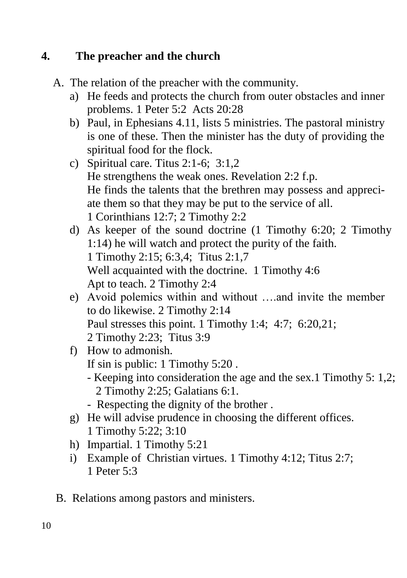## **4. The preacher and the church**

- A. The relation of the preacher with the community.
	- a) He feeds and protects the church from outer obstacles and inner problems. 1 Peter 5:2 Acts 20:28
	- b) Paul, in Ephesians 4.11, lists 5 ministries. The pastoral ministry is one of these. Then the minister has the duty of providing the spiritual food for the flock.
	- c) Spiritual care. Titus 2:1-6; 3:1,2 He strengthens the weak ones. Revelation 2:2 f.p. He finds the talents that the brethren may possess and appreciate them so that they may be put to the service of all. 1 Corinthians 12:7; 2 Timothy 2:2
	- d) As keeper of the sound doctrine (1 Timothy 6:20; 2 Timothy 1:14) he will watch and protect the purity of the faith. 1 Timothy 2:15; 6:3,4; Titus 2:1,7 Well acquainted with the doctrine. 1 Timothy 4:6 Apt to teach. 2 Timothy 2:4
	- e) Avoid polemics within and without ….and invite the member to do likewise. 2 Timothy 2:14 Paul stresses this point. 1 Timothy 1:4; 4:7; 6:20,21; 2 Timothy 2:23; Titus 3:9
	- f) How to admonish. If sin is public: 1 Timothy 5:20 .
		- Keeping into consideration the age and the sex.1 Timothy 5: 1,2; 2 Timothy 2:25; Galatians 6:1.
		- Respecting the dignity of the brother .
	- g) He will advise prudence in choosing the different offices. 1 Timothy 5:22; 3:10
	- h) Impartial. 1 Timothy 5:21
	- i) Example of Christian virtues. 1 Timothy 4:12; Titus 2:7; 1 Peter 5:3
- B. Relations among pastors and ministers.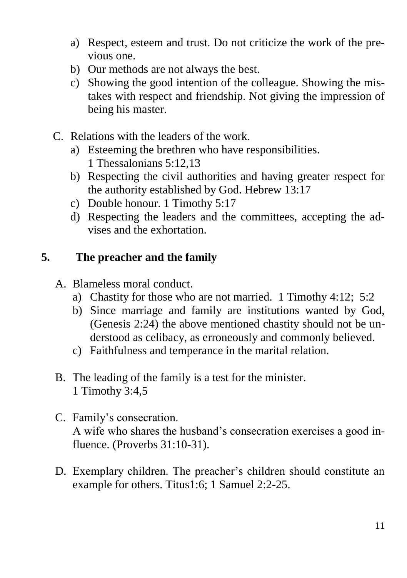- a) Respect, esteem and trust. Do not criticize the work of the previous one.
- b) Our methods are not always the best.
- c) Showing the good intention of the colleague. Showing the mistakes with respect and friendship. Not giving the impression of being his master.
- C. Relations with the leaders of the work.
	- a) Esteeming the brethren who have responsibilities. 1 Thessalonians 5:12,13
	- b) Respecting the civil authorities and having greater respect for the authority established by God. Hebrew 13:17
	- c) Double honour. 1 Timothy 5:17
	- d) Respecting the leaders and the committees, accepting the advises and the exhortation.

## **5. The preacher and the family**

- A. Blameless moral conduct.
	- a) Chastity for those who are not married. 1 Timothy 4:12; 5:2
	- b) Since marriage and family are institutions wanted by God, (Genesis 2:24) the above mentioned chastity should not be understood as celibacy, as erroneously and commonly believed.
	- c) Faithfulness and temperance in the marital relation.
- B. The leading of the family is a test for the minister. 1 Timothy 3:4,5
- C. Family's consecration. A wife who shares the husband's consecration exercises a good influence. (Proverbs 31:10-31).
- D. Exemplary children. The preacher's children should constitute an example for others. Titus1:6; 1 Samuel 2:2-25.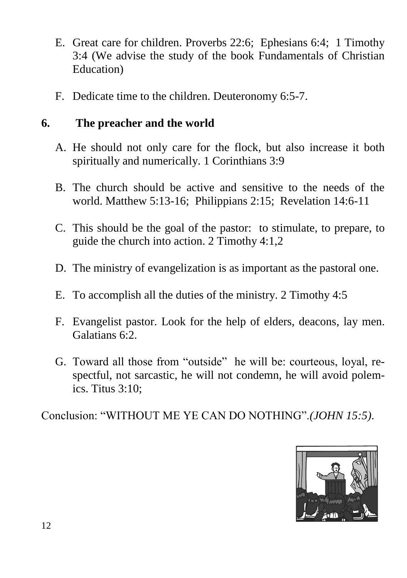- E. Great care for children. Proverbs 22:6; Ephesians 6:4; 1 Timothy 3:4 (We advise the study of the book Fundamentals of Christian Education)
- F. Dedicate time to the children. Deuteronomy 6:5-7.

## **6. The preacher and the world**

- A. He should not only care for the flock, but also increase it both spiritually and numerically. 1 Corinthians 3:9
- B. The church should be active and sensitive to the needs of the world. Matthew 5:13-16; Philippians 2:15; Revelation 14:6-11
- C. This should be the goal of the pastor: to stimulate, to prepare, to guide the church into action. 2 Timothy 4:1,2
- D. The ministry of evangelization is as important as the pastoral one.
- E. To accomplish all the duties of the ministry. 2 Timothy 4:5
- F. Evangelist pastor. Look for the help of elders, deacons, lay men. Galatians 6:2.
- G. Toward all those from "outside" he will be: courteous, loyal, respectful, not sarcastic, he will not condemn, he will avoid polemics. Titus 3:10;

Conclusion: "WITHOUT ME YE CAN DO NOTHING".*(JOHN 15:5)*.

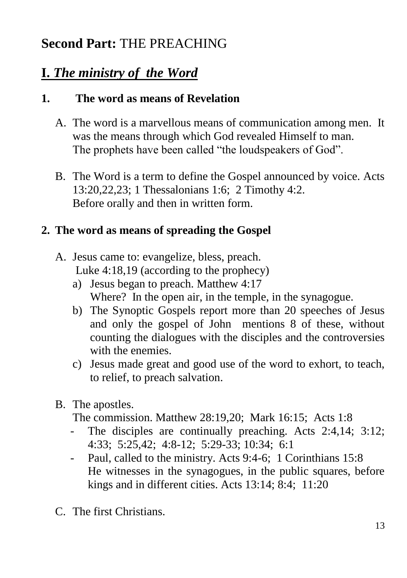# **Second Part:** THE PREACHING

# **I.** *The ministry of the Word*

#### **1. The word as means of Revelation**

- A. The word is a marvellous means of communication among men. It was the means through which God revealed Himself to man. The prophets have been called "the loudspeakers of God".
- B. The Word is a term to define the Gospel announced by voice. Acts 13:20,22,23; 1 Thessalonians 1:6; 2 Timothy 4:2. Before orally and then in written form.

## **2. The word as means of spreading the Gospel**

- A. Jesus came to: evangelize, bless, preach. Luke 4:18,19 (according to the prophecy)
	- a) Jesus began to preach. Matthew 4:17 Where? In the open air, in the temple, in the synagogue.
	- b) The Synoptic Gospels report more than 20 speeches of Jesus and only the gospel of John mentions 8 of these, without counting the dialogues with the disciples and the controversies with the enemies.
	- c) Jesus made great and good use of the word to exhort, to teach, to relief, to preach salvation.
- B. The apostles.

The commission. Matthew 28:19,20; Mark 16:15; Acts 1:8

- The disciples are continually preaching. Acts 2:4,14; 3:12; 4:33; 5:25,42; 4:8-12; 5:29-33; 10:34; 6:1
- Paul, called to the ministry. Acts 9:4-6; 1 Corinthians 15:8 He witnesses in the synagogues, in the public squares, before kings and in different cities. Acts 13:14; 8:4; 11:20
- C. The first Christians.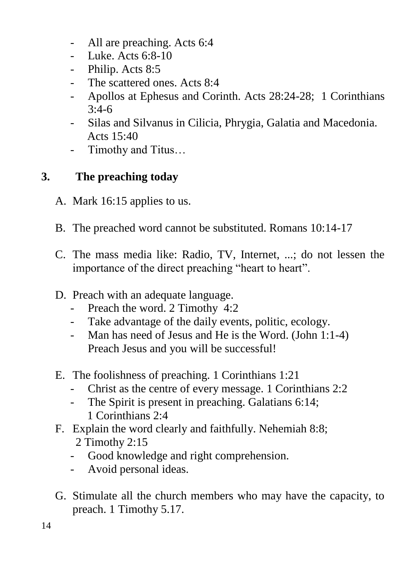- All are preaching. Acts 6:4
- Luke. Acts 6:8-10
- Philip. Acts 8:5
- The scattered ones. Acts 8:4
- Apollos at Ephesus and Corinth. Acts 28:24-28; 1 Corinthians 3:4-6
- Silas and Silvanus in Cilicia, Phrygia, Galatia and Macedonia. Acts  $15:40$
- Timothy and Titus…

## **3. The preaching today**

- A. Mark 16:15 applies to us.
- B. The preached word cannot be substituted. Romans 10:14-17
- C. The mass media like: Radio, TV, Internet, ...; do not lessen the importance of the direct preaching "heart to heart".
- D. Preach with an adequate language.
	- Preach the word. 2 Timothy 4:2
	- Take advantage of the daily events, politic, ecology.
	- Man has need of Jesus and He is the Word. (John 1:1-4) Preach Jesus and you will be successful!
- E. The foolishness of preaching. 1 Corinthians 1:21
	- Christ as the centre of every message. 1 Corinthians 2:2
	- The Spirit is present in preaching. Galatians 6:14; 1 Corinthians 2:4
- F. Explain the word clearly and faithfully. Nehemiah 8:8; 2 Timothy 2:15
	- Good knowledge and right comprehension.
	- Avoid personal ideas.
- G. Stimulate all the church members who may have the capacity, to preach. 1 Timothy 5.17.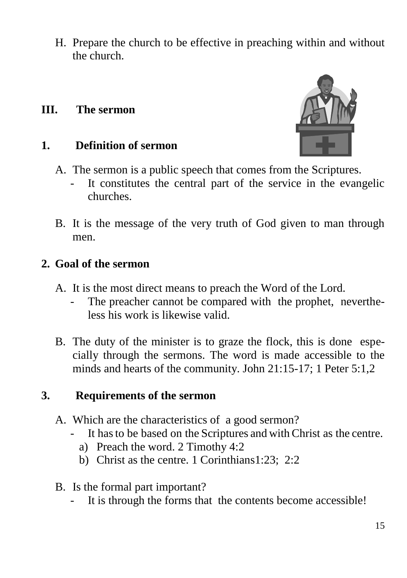H. Prepare the church to be effective in preaching within and without the church.

#### **III. The sermon**

#### **1. Definition of sermon**



- A. The sermon is a public speech that comes from the Scriptures.
	- It constitutes the central part of the service in the evangelic churches.
- B. It is the message of the very truth of God given to man through men.

#### **2. Goal of the sermon**

- A. It is the most direct means to preach the Word of the Lord.
	- The preacher cannot be compared with the prophet, nevertheless his work is likewise valid.
- B. The duty of the minister is to graze the flock, this is done especially through the sermons. The word is made accessible to the minds and hearts of the community. John 21:15-17; 1 Peter 5:1,2

#### **3. Requirements of the sermon**

- A. Which are the characteristics of a good sermon?
	- It has to be based on the Scriptures and with Christ as the centre.
		- a) Preach the word. 2 Timothy 4:2
		- b) Christ as the centre. 1 Corinthians1:23; 2:2
- B. Is the formal part important?
	- It is through the forms that the contents become accessible!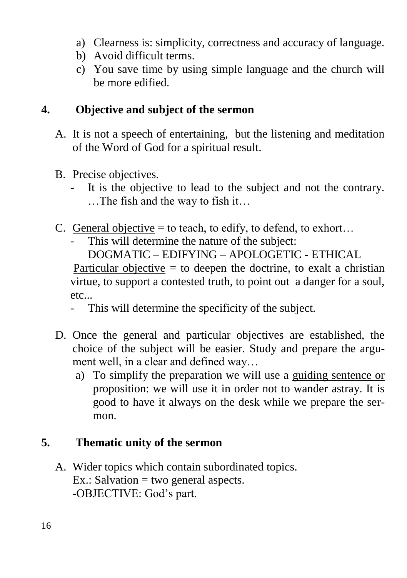- a) Clearness is: simplicity, correctness and accuracy of language.
- b) Avoid difficult terms.
- c) You save time by using simple language and the church will be more edified.

#### **4. Objective and subject of the sermon**

- A. It is not a speech of entertaining, but the listening and meditation of the Word of God for a spiritual result.
- B. Precise objectives.
	- It is the objective to lead to the subject and not the contrary. …The fish and the way to fish it…
- C. General objective  $=$  to teach, to edify, to defend, to exhort...
	- This will determine the nature of the subject:

DOGMATIC – EDIFYING – APOLOGETIC - ETHICAL

Particular objective  $=$  to deepen the doctrine, to exalt a christian virtue, to support a contested truth, to point out a danger for a soul, etc...

- This will determine the specificity of the subject.
- D. Once the general and particular objectives are established, the choice of the subject will be easier. Study and prepare the argument well, in a clear and defined way…
	- a) To simplify the preparation we will use a guiding sentence or proposition: we will use it in order not to wander astray. It is good to have it always on the desk while we prepare the sermon.

#### **5. Thematic unity of the sermon**

A. Wider topics which contain subordinated topics.  $Ex.:$  Salvation = two general aspects. -OBJECTIVE: God's part.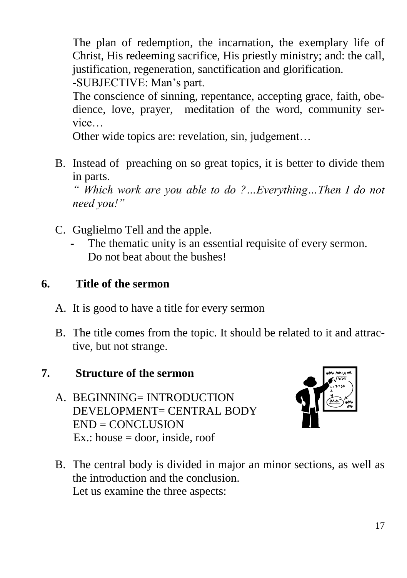The plan of redemption, the incarnation, the exemplary life of Christ, His redeeming sacrifice, His priestly ministry; and: the call, justification, regeneration, sanctification and glorification.

-SUBJECTIVE: Man's part.

The conscience of sinning, repentance, accepting grace, faith, obedience, love, prayer, meditation of the word, community service…

Other wide topics are: revelation, sin, judgement…

B. Instead of preaching on so great topics, it is better to divide them in parts.

*" Which work are you able to do ?…Everything…Then I do not need you!"* 

- C. Guglielmo Tell and the apple.
	- The thematic unity is an essential requisite of every sermon. Do not beat about the bushes!

## **6. Title of the sermon**

- A. It is good to have a title for every sermon
- B. The title comes from the topic. It should be related to it and attractive, but not strange.

## **7. Structure of the sermon**

A. BEGINNING= INTRODUCTION DEVELOPMENT= CENTRAL BODY END = CONCLUSION  $Ex.: house = door, inside, roof$ 



B. The central body is divided in major an minor sections, as well as the introduction and the conclusion. Let us examine the three aspects: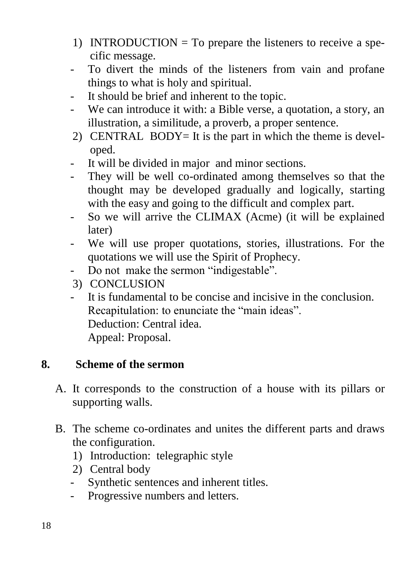- 1) INTRODUCTION  $=$  To prepare the listeners to receive a specific message.
- To divert the minds of the listeners from vain and profane things to what is holy and spiritual.
- It should be brief and inherent to the topic.
- We can introduce it with: a Bible verse, a quotation, a story, an illustration, a similitude, a proverb, a proper sentence.
- 2) CENTRAL BODY= It is the part in which the theme is developed.
- It will be divided in major and minor sections.
- They will be well co-ordinated among themselves so that the thought may be developed gradually and logically, starting with the easy and going to the difficult and complex part.
- So we will arrive the CLIMAX (Acme) (it will be explained later)
- We will use proper quotations, stories, illustrations. For the quotations we will use the Spirit of Prophecy.
- Do not make the sermon "indigestable".
- 3) CONCLUSION
- It is fundamental to be concise and incisive in the conclusion. Recapitulation: to enunciate the "main ideas". Deduction: Central idea. Appeal: Proposal.

#### **8. Scheme of the sermon**

- A. It corresponds to the construction of a house with its pillars or supporting walls.
- B. The scheme co-ordinates and unites the different parts and draws the configuration.
	- 1) Introduction: telegraphic style
	- 2) Central body
	- Synthetic sentences and inherent titles.
	- Progressive numbers and letters.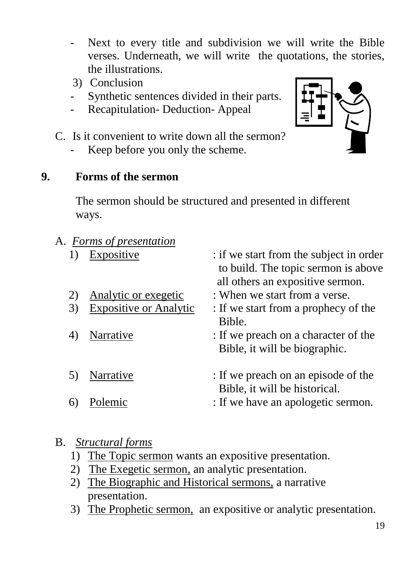- Next to every title and subdivision we will write the Bible verses. Underneath, we will write the quotations, the stories, the illustrations.
- 3) Conclusion
- Synthetic sentences divided in their parts.
- Recapitulation- Deduction- Appeal



Keep before you only the scheme.

#### **9. Forms of the sermon**

The sermon should be structured and presented in different ways.

#### A. *Forms of presentation*

| 1) | Expositive             | : if we start from the subject in order<br>to build. The topic sermon is above<br>all others an expositive sermon. |
|----|------------------------|--------------------------------------------------------------------------------------------------------------------|
| 2) | Analytic or exegetic   | : When we start from a verse.                                                                                      |
| 3) | Expositive or Analytic | : If we start from a prophecy of the<br>Bible.                                                                     |
|    | Narrative              | : If we preach on a character of the<br>Bible, it will be biographic.                                              |
| 5) | Narrative              | : If we preach on an episode of the<br>Bible, it will be historical.                                               |
|    | Polemic                | : If we have an apologetic sermon.                                                                                 |

#### B. *Structural forms*

- 1) The Topic sermon wants an expositive presentation.
- 2) The Exegetic sermon, an analytic presentation.
- 2) The Biographic and Historical sermons, a narrative presentation.
- 3) The Prophetic sermon, an expositive or analytic presentation.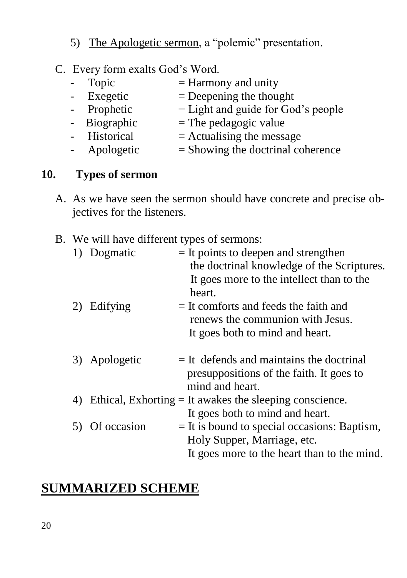- 5) The Apologetic sermon, a "polemic" presentation.
- C. Every form exalts God's Word.
	- Topic  $=$  Harmony and unity - Exegetic  $=$  Deepening the thought<br>- Prophetic  $=$  Light and guide for Go  $=$  Light and guide for God's people  $-$  Biographic  $=$  The pedagogic value
	- $-$  Historical = Actualising the message
	- Apologetic  $=$  Showing the doctrinal coherence

#### **10. Types of sermon**

- A. As we have seen the sermon should have concrete and precise objectives for the listeners.
- B. We will have different types of sermons:

|    | Dogmatic      | $=$ It points to deepen and strengthen<br>the doctrinal knowledge of the Scriptures.                                         |
|----|---------------|------------------------------------------------------------------------------------------------------------------------------|
|    |               | It goes more to the intellect than to the<br>heart.                                                                          |
|    | 2) Edifying   | $=$ It comforts and feeds the faith and<br>renews the communion with Jesus.                                                  |
|    |               | It goes both to mind and heart.                                                                                              |
|    | 3) Apologetic | $=$ It defends and maintains the doctrinal<br>presuppositions of the faith. It goes to<br>mind and heart.                    |
| 4) |               | Ethical, Exhorting $=$ It awakes the sleeping conscience.<br>It goes both to mind and heart.                                 |
|    | Of occasion   | $=$ It is bound to special occasions: Baptism,<br>Holy Supper, Marriage, etc.<br>It goes more to the heart than to the mind. |

## **SUMMARIZED SCHEME**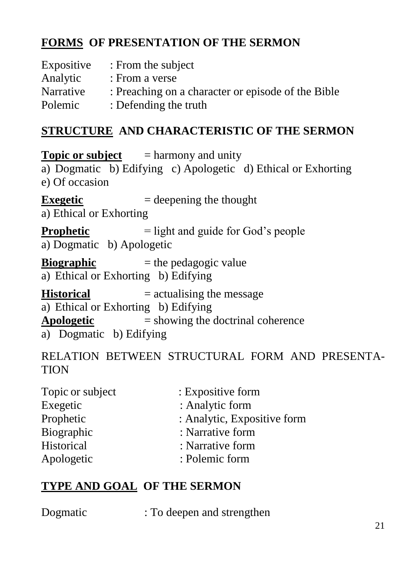## **FORMS OF PRESENTATION OF THE SERMON**

| Expositive | : From the subject                                 |
|------------|----------------------------------------------------|
| Analytic   | : From a verse                                     |
| Narrative  | : Preaching on a character or episode of the Bible |
| Polemic    | : Defending the truth                              |

## **STRUCTURE AND CHARACTERISTIC OF THE SERMON**

**Topic or subject** = harmony and unity a) Dogmatic b) Edifying c) Apologetic d) Ethical or Exhorting e) Of occasion **Exegetic**  $=$  deepening the thought a) Ethical or Exhorting **Prophetic** = light and guide for God's people a) Dogmatic b) Apologetic **Biographic**  $=$  the pedagogic value a) Ethical or Exhorting b) Edifying **Historical** = actualising the message a) Ethical or Exhorting b) Edifying **Apologetic** = showing the doctrinal coherence a) Dogmatic b) Edifying

RELATION BETWEEN STRUCTURAL FORM AND PRESENTA-**TION** 

| : Expositive form           |
|-----------------------------|
| : Analytic form             |
| : Analytic, Expositive form |
| : Narrative form            |
| : Narrative form            |
| : Polemic form              |
|                             |

## **TYPE AND GOAL OF THE SERMON**

| Dogmatic | : To deepen and strengthen |  |
|----------|----------------------------|--|
|          |                            |  |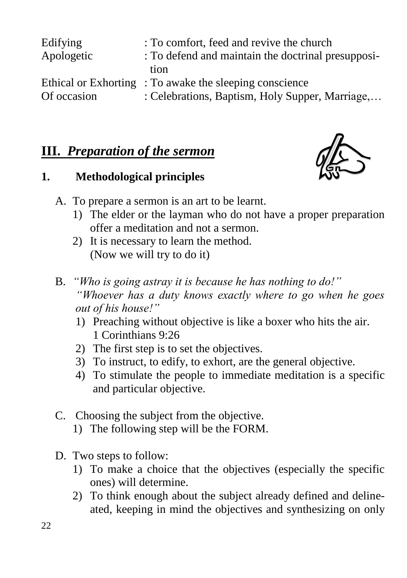| Edifying    | : To comfort, feed and revive the church               |
|-------------|--------------------------------------------------------|
| Apologetic  | : To defend and maintain the doctrinal presupposi-     |
|             | tion                                                   |
|             | Ethical or Exhorting: To awake the sleeping conscience |
| Of occasion | : Celebrations, Baptism, Holy Supper, Marriage,        |

## **III.** *Preparation of the sermon*

## **1. Methodological principles**



- A. To prepare a sermon is an art to be learnt.
	- 1) The elder or the layman who do not have a proper preparation offer a meditation and not a sermon.
	- 2) It is necessary to learn the method. (Now we will try to do it)
- B. *"Who is going astray it is because he has nothing to do!" "Whoever has a duty knows exactly where to go when he goes out of his house!"*
	- 1) Preaching without objective is like a boxer who hits the air. 1 Corinthians 9:26
	- 2) The first step is to set the objectives.
	- 3) To instruct, to edify, to exhort, are the general objective.
	- 4) To stimulate the people to immediate meditation is a specific and particular objective.
- C. Choosing the subject from the objective.
	- 1) The following step will be the FORM.
- D. Two steps to follow:
	- 1) To make a choice that the objectives (especially the specific ones) will determine.
	- 2) To think enough about the subject already defined and delineated, keeping in mind the objectives and synthesizing on only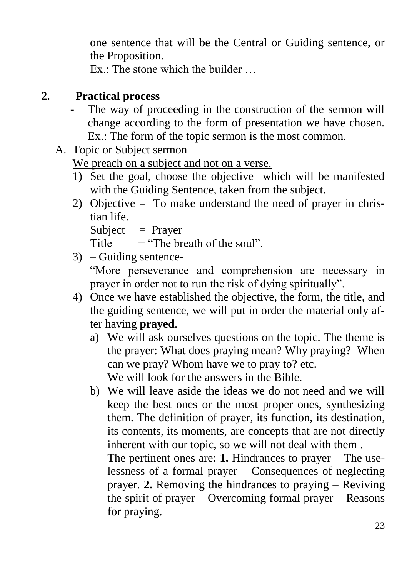one sentence that will be the Central or Guiding sentence, or the Proposition.

 $Ex \cdot$  The stone which the builder

## **2. Practical process**

- The way of proceeding in the construction of the sermon will change according to the form of presentation we have chosen. Ex.: The form of the topic sermon is the most common.
- A. Topic or Subject sermon

We preach on a subject and not on a verse.

- 1) Set the goal, choose the objective which will be manifested with the Guiding Sentence, taken from the subject.
- 2) Objective = To make understand the need of prayer in christian life.

Subject  $=$  Prayer

Title  $=$  "The breath of the soul"

3) – Guiding sentence-

"More perseverance and comprehension are necessary in prayer in order not to run the risk of dying spiritually".

- 4) Once we have established the objective, the form, the title, and the guiding sentence, we will put in order the material only after having **prayed**.
	- a) We will ask ourselves questions on the topic. The theme is the prayer: What does praying mean? Why praying? When can we pray? Whom have we to pray to? etc. We will look for the answers in the Bible.
	- b) We will leave aside the ideas we do not need and we will keep the best ones or the most proper ones, synthesizing them. The definition of prayer, its function, its destination, its contents, its moments, are concepts that are not directly inherent with our topic, so we will not deal with them .

The pertinent ones are: **1.** Hindrances to prayer – The uselessness of a formal prayer – Consequences of neglecting prayer. **2.** Removing the hindrances to praying – Reviving the spirit of prayer – Overcoming formal prayer – Reasons for praying.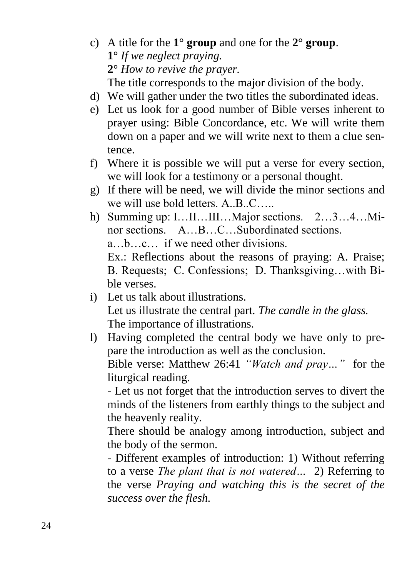- c) A title for the **1° group** and one for the **2° group**. **1°** *If we neglect praying.* **2°** *How to revive the prayer.* The title corresponds to the major division of the body.
- d) We will gather under the two titles the subordinated ideas.
- e) Let us look for a good number of Bible verses inherent to prayer using: Bible Concordance, etc. We will write them down on a paper and we will write next to them a clue sentence.
- f) Where it is possible we will put a verse for every section, we will look for a testimony or a personal thought.
- g) If there will be need, we will divide the minor sections and we will use bold letters. A. B. C.
- h) Summing up: I…II…III…Major sections. 2…3…4…Minor sections. A…B…C…Subordinated sections. a…b…c… if we need other divisions. Ex.: Reflections about the reasons of praying: A. Praise; B. Requests; C. Confessions; D. Thanksgiving…with Bible verses.
- i) Let us talk about illustrations. Let us illustrate the central part. *The candle in the glass.* The importance of illustrations.
- l) Having completed the central body we have only to prepare the introduction as well as the conclusion. Bible verse: Matthew 26:41 *"Watch and pray…"* for the liturgical reading.

- Let us not forget that the introduction serves to divert the minds of the listeners from earthly things to the subject and the heavenly reality.

There should be analogy among introduction, subject and the body of the sermon.

- Different examples of introduction: 1) Without referring to a verse *The plant that is not watered…* 2) Referring to the verse *Praying and watching this is the secret of the success over the flesh.*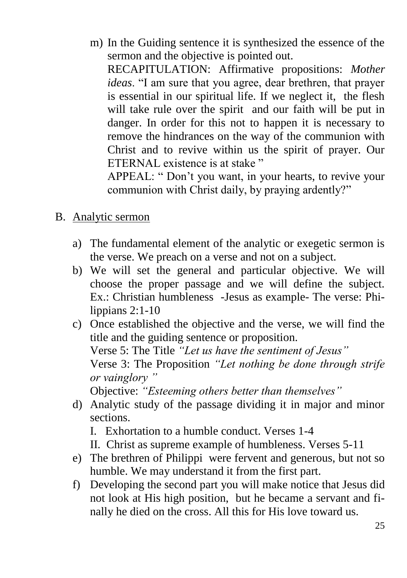m) In the Guiding sentence it is synthesized the essence of the sermon and the objective is pointed out.

RECAPITULATION: Affirmative propositions: *Mother ideas*. "I am sure that you agree, dear brethren, that prayer is essential in our spiritual life. If we neglect it, the flesh will take rule over the spirit and our faith will be put in danger. In order for this not to happen it is necessary to remove the hindrances on the way of the communion with Christ and to revive within us the spirit of prayer. Our ETERNAL existence is at stake "

APPEAL: " Don't you want, in your hearts, to revive your communion with Christ daily, by praying ardently?"

- B. Analytic sermon
	- a) The fundamental element of the analytic or exegetic sermon is the verse. We preach on a verse and not on a subject.
	- b) We will set the general and particular objective. We will choose the proper passage and we will define the subject. Ex.: Christian humbleness -Jesus as example- The verse: Philippians 2:1-10
	- c) Once established the objective and the verse, we will find the title and the guiding sentence or proposition. Verse 5: The Title *"Let us have the sentiment of Jesus"* Verse 3: The Proposition *"Let nothing be done through strife or vainglory "* Objective: *"Esteeming others better than themselves"*
	- d) Analytic study of the passage dividing it in major and minor sections.
		- I. Exhortation to a humble conduct. Verses 1-4
		- II. Christ as supreme example of humbleness. Verses 5-11
	- e) The brethren of Philippi were fervent and generous, but not so humble. We may understand it from the first part.
	- f) Developing the second part you will make notice that Jesus did not look at His high position, but he became a servant and finally he died on the cross. All this for His love toward us.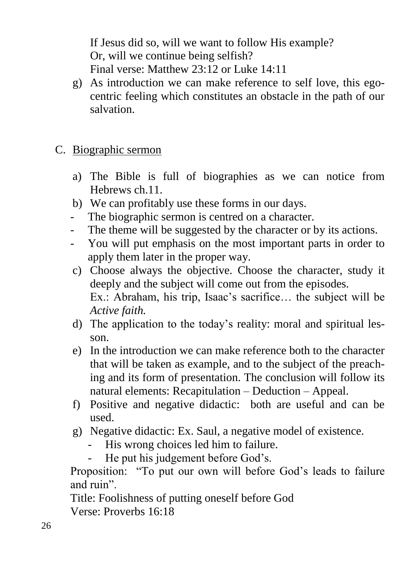If Jesus did so, will we want to follow His example? Or, will we continue being selfish? Final verse: Matthew 23:12 or Luke 14:11

- g) As introduction we can make reference to self love, this egocentric feeling which constitutes an obstacle in the path of our salvation.
- C. Biographic sermon
	- a) The Bible is full of biographies as we can notice from Hebrews ch.11.
	- b) We can profitably use these forms in our days.
	- The biographic sermon is centred on a character.
	- The theme will be suggested by the character or by its actions.
	- You will put emphasis on the most important parts in order to apply them later in the proper way.
	- c) Choose always the objective. Choose the character, study it deeply and the subject will come out from the episodes. Ex.: Abraham, his trip, Isaac's sacrifice… the subject will be *Active faith.*
	- d) The application to the today's reality: moral and spiritual lesson.
	- e) In the introduction we can make reference both to the character that will be taken as example, and to the subject of the preaching and its form of presentation. The conclusion will follow its natural elements: Recapitulation – Deduction – Appeal.
	- f) Positive and negative didactic: both are useful and can be used.
	- g) Negative didactic: Ex. Saul, a negative model of existence.
		- His wrong choices led him to failure.
		- He put his judgement before God's.

Proposition: "To put our own will before God's leads to failure and ruin".

Title: Foolishness of putting oneself before God Verse: Proverbs 16:18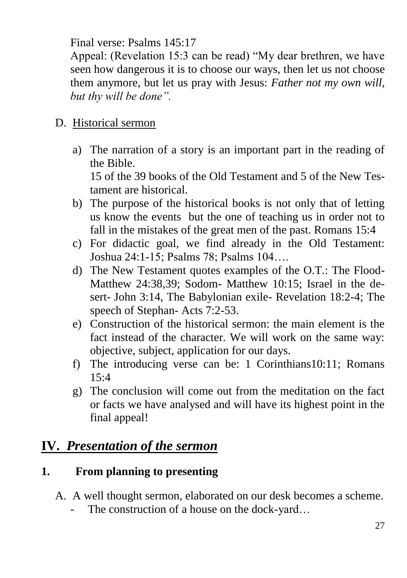Final verse: Psalms 145:17

Appeal: (Revelation 15:3 can be read) "My dear brethren, we have seen how dangerous it is to choose our ways, then let us not choose them anymore, but let us pray with Jesus: *Father not my own will, but thy will be done".*

### D. Historical sermon

- a) The narration of a story is an important part in the reading of the Bible. 15 of the 39 books of the Old Testament and 5 of the New Testament are historical.
- b) The purpose of the historical books is not only that of letting us know the events but the one of teaching us in order not to fall in the mistakes of the great men of the past. Romans 15:4
- c) For didactic goal, we find already in the Old Testament: Joshua 24:1-15; Psalms 78; Psalms 104….
- d) The New Testament quotes examples of the O.T.: The Flood-Matthew 24:38,39; Sodom- Matthew 10:15; Israel in the desert- John 3:14, The Babylonian exile- Revelation 18:2-4; The speech of Stephan- Acts 7:2-53.
- e) Construction of the historical sermon: the main element is the fact instead of the character. We will work on the same way: objective, subject, application for our days.
- f) The introducing verse can be: 1 Corinthians10:11; Romans  $15.4$
- g) The conclusion will come out from the meditation on the fact or facts we have analysed and will have its highest point in the final appeal!

## **IV.** *Presentation of the sermon*

## **1. From planning to presenting**

- A. A well thought sermon, elaborated on our desk becomes a scheme.
	- The construction of a house on the dock-yard…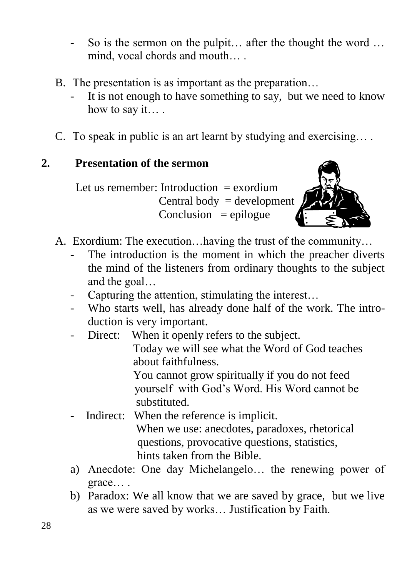- So is the sermon on the pulpit... after the thought the word ... mind, vocal chords and mouth… .
- B. The presentation is as important as the preparation…
	- It is not enough to have something to say, but we need to know how to say it… .
- C. To speak in public is an art learnt by studying and exercising… .

#### **2. Presentation of the sermon**

Let us remember: Introduction  $=$  exordium Central body  $=$  development  $Conclusion = epidemic$ 



- A. Exordium: The execution…having the trust of the community…
	- The introduction is the moment in which the preacher diverts the mind of the listeners from ordinary thoughts to the subject and the goal…
	- Capturing the attention, stimulating the interest...
	- Who starts well, has already done half of the work. The introduction is very important.
	- Direct: When it openly refers to the subject.

 Today we will see what the Word of God teaches about faithfulness.

 You cannot grow spiritually if you do not feed yourself with God's Word. His Word cannot be substituted.

- Indirect: When the reference is implicit. When we use: anecdotes, paradoxes, rhetorical questions, provocative questions, statistics,
	- hints taken from the Bible.
- a) Anecdote: One day Michelangelo… the renewing power of grace… .
- b) Paradox: We all know that we are saved by grace, but we live as we were saved by works… Justification by Faith.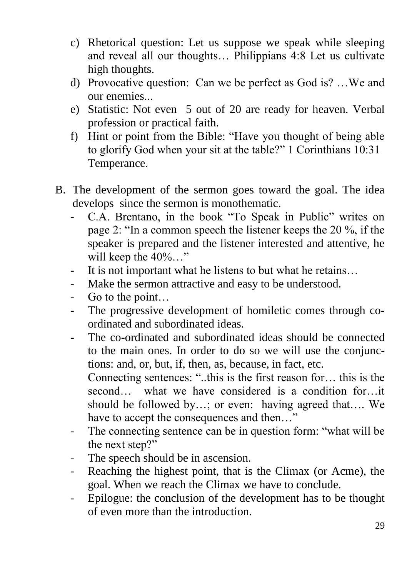- c) Rhetorical question: Let us suppose we speak while sleeping and reveal all our thoughts… Philippians 4:8 Let us cultivate high thoughts.
- d) Provocative question: Can we be perfect as God is? …We and our enemies...
- e) Statistic: Not even 5 out of 20 are ready for heaven. Verbal profession or practical faith.
- f) Hint or point from the Bible: "Have you thought of being able to glorify God when your sit at the table?" 1 Corinthians 10:31 Temperance.
- B. The development of the sermon goes toward the goal. The idea develops since the sermon is monothematic.
	- C.A. Brentano, in the book "To Speak in Public" writes on page 2: "In a common speech the listener keeps the 20 %, if the speaker is prepared and the listener interested and attentive, he will keep the  $40\%$ ..."
	- It is not important what he listens to but what he retains...
	- Make the sermon attractive and easy to be understood.
	- Go to the point…
	- The progressive development of homiletic comes through coordinated and subordinated ideas.
	- The co-ordinated and subordinated ideas should be connected to the main ones. In order to do so we will use the conjunctions: and, or, but, if, then, as, because, in fact, etc. Connecting sentences: "..this is the first reason for… this is the second… what we have considered is a condition for…it should be followed by…; or even: having agreed that…. We
	- have to accept the consequences and then..." The connecting sentence can be in question form: "what will be the next step?"
	- The speech should be in ascension.
	- Reaching the highest point, that is the Climax (or Acme), the goal. When we reach the Climax we have to conclude.
	- Epilogue: the conclusion of the development has to be thought of even more than the introduction.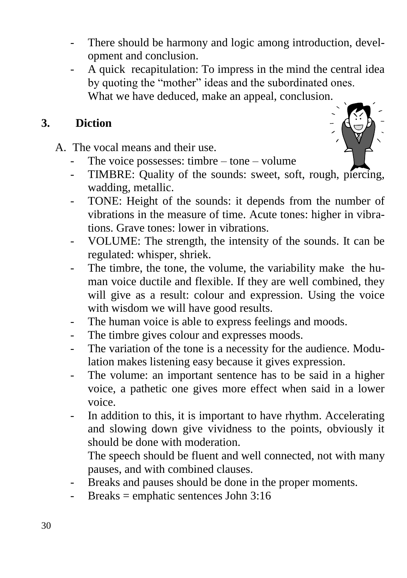- There should be harmony and logic among introduction, development and conclusion.
- A quick recapitulation: To impress in the mind the central idea by quoting the "mother" ideas and the subordinated ones. What we have deduced, make an appeal, conclusion.

#### **3. Diction**

A. The vocal means and their use.

- The voice possesses: timbre tone volume
- TIMBRE: Quality of the sounds: sweet, soft, rough, piercing, wadding, metallic.
- TONE: Height of the sounds: it depends from the number of vibrations in the measure of time. Acute tones: higher in vibrations. Grave tones: lower in vibrations.
- VOLUME: The strength, the intensity of the sounds. It can be regulated: whisper, shriek.
- The timbre, the tone, the volume, the variability make the human voice ductile and flexible. If they are well combined, they will give as a result: colour and expression. Using the voice with wisdom we will have good results.
- The human voice is able to express feelings and moods.
- The timbre gives colour and expresses moods.
- The variation of the tone is a necessity for the audience. Modulation makes listening easy because it gives expression.
- The volume: an important sentence has to be said in a higher voice, a pathetic one gives more effect when said in a lower voice.
- In addition to this, it is important to have rhythm. Accelerating and slowing down give vividness to the points, obviously it should be done with moderation.

The speech should be fluent and well connected, not with many pauses, and with combined clauses.

- Breaks and pauses should be done in the proper moments.
- Breaks = emphatic sentences John  $3:16$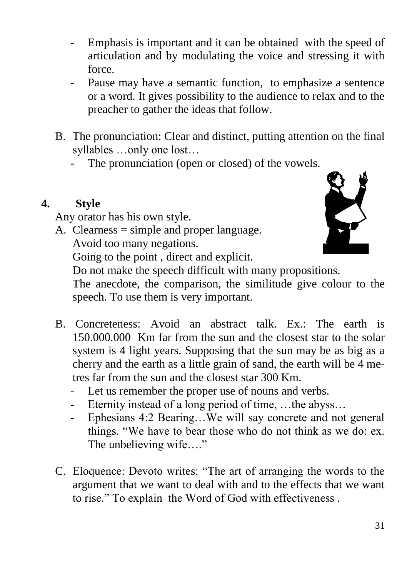- Emphasis is important and it can be obtained with the speed of articulation and by modulating the voice and stressing it with force.
- Pause may have a semantic function, to emphasize a sentence or a word. It gives possibility to the audience to relax and to the preacher to gather the ideas that follow.
- B. The pronunciation: Clear and distinct, putting attention on the final syllables …only one lost…
	- The pronunciation (open or closed) of the vowels.

## **4. Style**

Any orator has his own style.

A. Clearness = simple and proper language.

Avoid too many negations.



Going to the point , direct and explicit.

Do not make the speech difficult with many propositions.

The anecdote, the comparison, the similitude give colour to the speech. To use them is very important.

- B. Concreteness: Avoid an abstract talk. Ex.: The earth is 150.000.000 Km far from the sun and the closest star to the solar system is 4 light years. Supposing that the sun may be as big as a cherry and the earth as a little grain of sand, the earth will be 4 metres far from the sun and the closest star 300 Km.
	- Let us remember the proper use of nouns and verbs.
	- Eternity instead of a long period of time, ... the abyss...
	- Ephesians 4:2 Bearing…We will say concrete and not general things. "We have to bear those who do not think as we do: ex. The unbelieving wife...."
- C. Eloquence: Devoto writes: "The art of arranging the words to the argument that we want to deal with and to the effects that we want to rise." To explain the Word of God with effectiveness .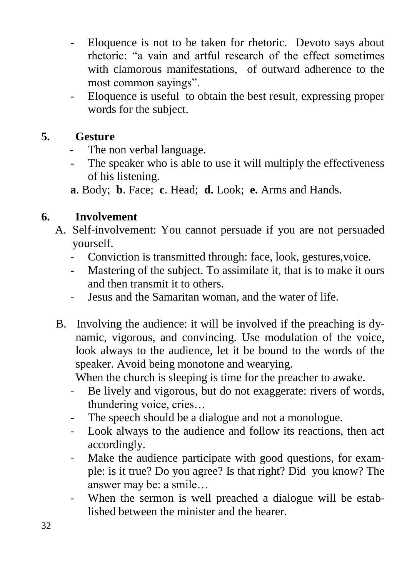- Eloquence is not to be taken for rhetoric. Devoto says about rhetoric: "a vain and artful research of the effect sometimes with clamorous manifestations, of outward adherence to the most common sayings".
- Eloquence is useful to obtain the best result, expressing proper words for the subject.

#### **5. Gesture**

- The non verbal language.
- The speaker who is able to use it will multiply the effectiveness of his listening.

**a**. Body; **b**. Face; **c**. Head; **d.** Look; **e.** Arms and Hands.

## **6. Involvement**

- A. Self-involvement: You cannot persuade if you are not persuaded yourself.
	- Conviction is transmitted through: face, look, gestures,voice.
	- Mastering of the subject. To assimilate it, that is to make it ours and then transmit it to others.
	- Jesus and the Samaritan woman, and the water of life.
- B. Involving the audience: it will be involved if the preaching is dynamic, vigorous, and convincing. Use modulation of the voice, look always to the audience, let it be bound to the words of the speaker. Avoid being monotone and wearying.

When the church is sleeping is time for the preacher to awake.

- Be lively and vigorous, but do not exaggerate: rivers of words, thundering voice, cries…
- The speech should be a dialogue and not a monologue.
- Look always to the audience and follow its reactions, then act accordingly.
- Make the audience participate with good questions, for example: is it true? Do you agree? Is that right? Did you know? The answer may be: a smile…
- When the sermon is well preached a dialogue will be established between the minister and the hearer.